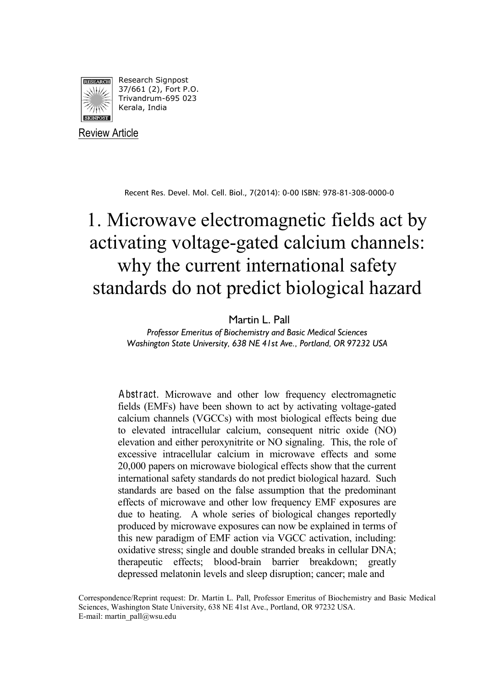

Review Article

Recent Res. Devel. Mol. Cell. Biol., 7(2014): 0-00 ISBN: 978-81-308-0000-0

# 1. Microwave electromagnetic fields act by activating voltage-gated calcium channels: why the current international safety standards do not predict biological hazard

#### Martin L. Pall

*Professor Emeritus of Biochemistry and Basic Medical Sciences Washington State University, 638 NE 41st Ave., Portland, OR 97232 USA*

Abstract. Microwave and other low frequency electromagnetic fields (EMFs) have been shown to act by activating voltage-gated calcium channels (VGCCs) with most biological effects being due to elevated intracellular calcium, consequent nitric oxide (NO) elevation and either peroxynitrite or NO signaling. This, the role of excessive intracellular calcium in microwave effects and some 20,000 papers on microwave biological effects show that the current international safety standards do not predict biological hazard. Such standards are based on the false assumption that the predominant effects of microwave and other low frequency EMF exposures are due to heating. A whole series of biological changes reportedly produced by microwave exposures can now be explained in terms of this new paradigm of EMF action via VGCC activation, including: oxidative stress; single and double stranded breaks in cellular DNA; therapeutic effects; blood-brain barrier breakdown; greatly depressed melatonin levels and sleep disruption; cancer; male and

Correspondence/Reprint request: Dr. Martin L. Pall, Professor Emeritus of Biochemistry and Basic Medical Sciences, Washington State University, 638 NE 41st Ave., Portland, OR 97232 USA. E-mail: martin\_pall@wsu.edu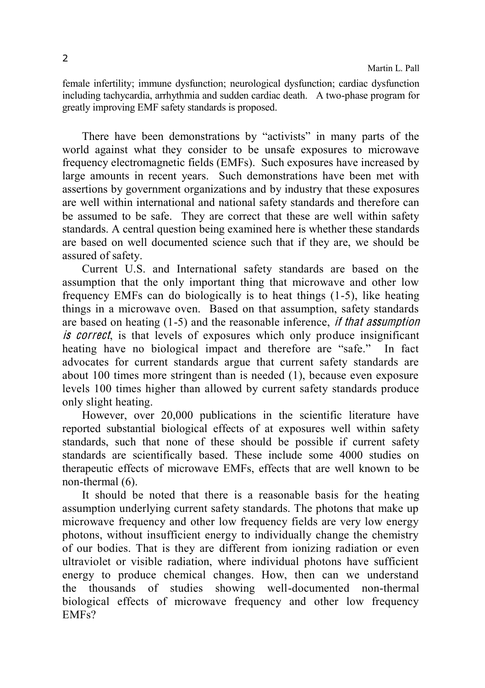female infertility; immune dysfunction; neurological dysfunction; cardiac dysfunction including tachycardia, arrhythmia and sudden cardiac death. A two-phase program for greatly improving EMF safety standards is proposed.

There have been demonstrations by "activists" in many parts of the world against what they consider to be unsafe exposures to microwave frequency electromagnetic fields (EMFs). Such exposures have increased by large amounts in recent years. Such demonstrations have been met with assertions by government organizations and by industry that these exposures are well within international and national safety standards and therefore can be assumed to be safe. They are correct that these are well within safety standards. A central question being examined here is whether these standards are based on well documented science such that if they are, we should be assured of safety.

Current U.S. and International safety standards are based on the assumption that the only important thing that microwave and other low frequency EMFs can do biologically is to heat things (1-5), like heating things in a microwave oven. Based on that assumption, safety standards are based on heating (1-5) and the reasonable inference, if <sup>t</sup>ha<sup>t</sup> <sup>a</sup>ssumption is correct, is that levels of exposures which only produce insignificant heating have no biological impact and therefore are "safe." In fact advocates for current standards argue that current safety standards are about 100 times more stringent than is needed (1), because even exposure levels 100 times higher than allowed by current safety standards produce only slight heating.

However, over 20,000 publications in the scientific literature have reported substantial biological effects of at exposures well within safety standards, such that none of these should be possible if current safety standards are scientifically based. These include some 4000 studies on therapeutic effects of microwave EMFs, effects that are well known to be non-thermal (6)

It should be noted that there is a reasonable basis for the heating assumption underlying current safety standards. The photons that make up microwave frequency and other low frequency fields are very low energy photons, without insufficient energy to individually change the chemistry of our bodies. That is they are different from ionizing radiation or even ultraviolet or visible radiation, where individual photons have sufficient energy to produce chemical changes. How, then can we understand the thousands of studies showing well-documented non-thermal biological effects of microwave frequency and other low frequency EMFs?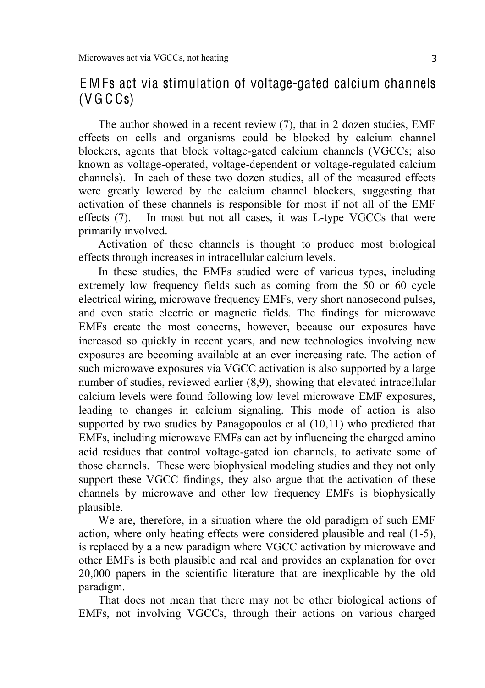## E M Fs act via stimulation of voltage-gated calcium channels  $(V G C S)$

The author showed in a recent review (7), that in 2 dozen studies, EMF effects on cells and organisms could be blocked by calcium channel blockers, agents that block voltage-gated calcium channels (VGCCs; also known as voltage-operated, voltage-dependent or voltage-regulated calcium channels). In each of these two dozen studies, all of the measured effects were greatly lowered by the calcium channel blockers, suggesting that activation of these channels is responsible for most if not all of the EMF effects (7). In most but not all cases, it was L-type VGCCs that were primarily involved.

Activation of these channels is thought to produce most biological effects through increases in intracellular calcium levels.

In these studies, the EMFs studied were of various types, including extremely low frequency fields such as coming from the 50 or 60 cycle electrical wiring, microwave frequency EMFs, very short nanosecond pulses, and even static electric or magnetic fields. The findings for microwave EMFs create the most concerns, however, because our exposures have increased so quickly in recent years, and new technologies involving new exposures are becoming available at an ever increasing rate. The action of such microwave exposures via VGCC activation is also supported by a large number of studies, reviewed earlier (8,9), showing that elevated intracellular calcium levels were found following low level microwave EMF exposures, leading to changes in calcium signaling. This mode of action is also supported by two studies by Panagopoulos et al (10,11) who predicted that EMFs, including microwave EMFs can act by influencing the charged amino acid residues that control voltage-gated ion channels, to activate some of those channels. These were biophysical modeling studies and they not only support these VGCC findings, they also argue that the activation of these channels by microwave and other low frequency EMFs is biophysically plausible.

We are, therefore, in a situation where the old paradigm of such EMF action, where only heating effects were considered plausible and real (1-5), is replaced by a a new paradigm where VGCC activation by microwave and other EMFs is both plausible and real and provides an explanation for over 20,000 papers in the scientific literature that are inexplicable by the old paradigm.

That does not mean that there may not be other biological actions of EMFs, not involving VGCCs, through their actions on various charged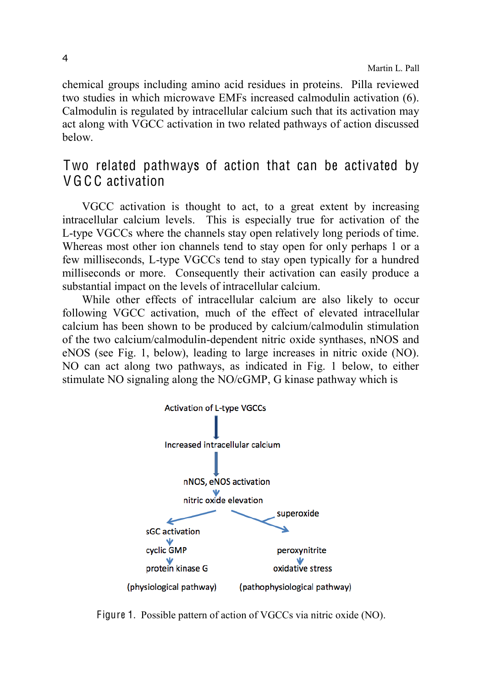chemical groups including amino acid residues in proteins. Pilla reviewed two studies in which microwave EMFs increased calmodulin activation (6). Calmodulin is regulated by intracellular calcium such that its activation may act along with VGCC activation in two related pathways of action discussed below.

## Two related pathways of action that can be activated by V G C C activation

VGCC activation is thought to act, to a great extent by increasing intracellular calcium levels. This is especially true for activation of the L-type VGCCs where the channels stay open relatively long periods of time. Whereas most other ion channels tend to stay open for only perhaps 1 or a few milliseconds, L-type VGCCs tend to stay open typically for a hundred milliseconds or more. Consequently their activation can easily produce a substantial impact on the levels of intracellular calcium.

While other effects of intracellular calcium are also likely to occur following VGCC activation, much of the effect of elevated intracellular calcium has been shown to be produced by calcium/calmodulin stimulation of the two calcium/calmodulin-dependent nitric oxide synthases, nNOS and eNOS (see Fig. 1, below), leading to large increases in nitric oxide (NO). NO can act along two pathways, as indicated in Fig. 1 below, to either stimulate NO signaling along the NO/cGMP, G kinase pathway which is



Figure 1. Possible pattern of action of VGCCs via nitric oxide (NO).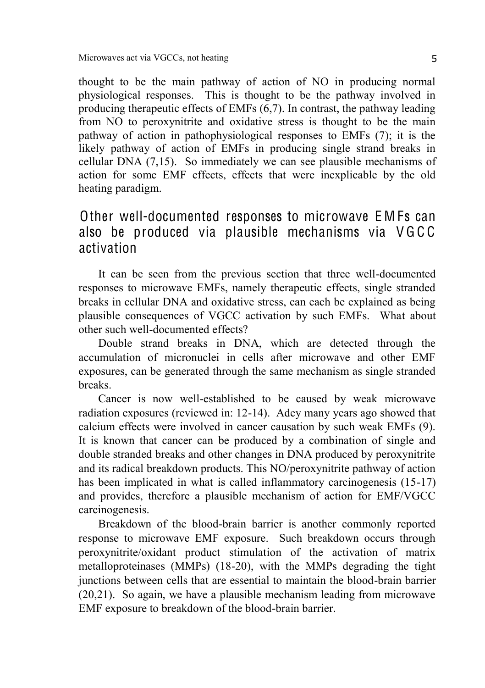thought to be the main pathway of action of NO in producing normal physiological responses. This is thought to be the pathway involved in producing therapeutic effects of EMFs (6,7). In contrast, the pathway leading from NO to peroxynitrite and oxidative stress is thought to be the main pathway of action in pathophysiological responses to EMFs (7); it is the likely pathway of action of EMFs in producing single strand breaks in cellular DNA (7,15). So immediately we can see plausible mechanisms of action for some EMF effects, effects that were inexplicable by the old heating paradigm.

## Other well-documented responses to microwave E M Fs can also be produced via plausible mechanisms via V G C C activation

It can be seen from the previous section that three well-documented responses to microwave EMFs, namely therapeutic effects, single stranded breaks in cellular DNA and oxidative stress, can each be explained as being plausible consequences of VGCC activation by such EMFs. What about other such well-documented effects?

Double strand breaks in DNA, which are detected through the accumulation of micronuclei in cells after microwave and other EMF exposures, can be generated through the same mechanism as single stranded breaks.

Cancer is now well-established to be caused by weak microwave radiation exposures (reviewed in: 12-14). Adey many years ago showed that calcium effects were involved in cancer causation by such weak EMFs (9). It is known that cancer can be produced by a combination of single and double stranded breaks and other changes in DNA produced by peroxynitrite and its radical breakdown products. This NO/peroxynitrite pathway of action has been implicated in what is called inflammatory carcinogenesis (15-17) and provides, therefore a plausible mechanism of action for EMF/VGCC carcinogenesis.

Breakdown of the blood-brain barrier is another commonly reported response to microwave EMF exposure. Such breakdown occurs through peroxynitrite/oxidant product stimulation of the activation of matrix metalloproteinases (MMPs) (18-20), with the MMPs degrading the tight junctions between cells that are essential to maintain the blood-brain barrier (20,21). So again, we have a plausible mechanism leading from microwave EMF exposure to breakdown of the blood-brain barrier.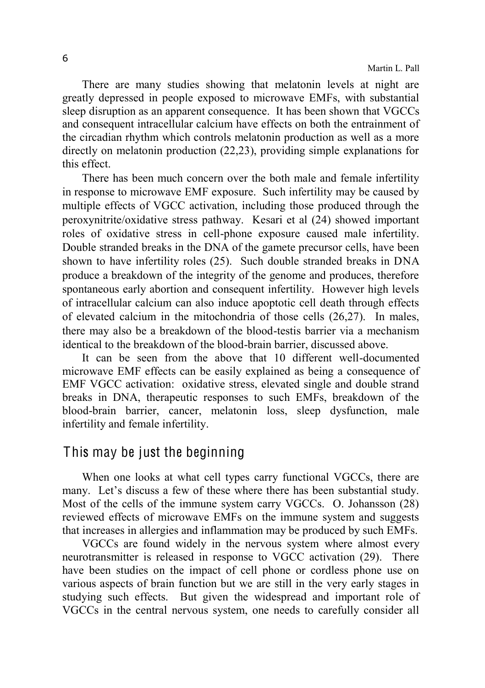There are many studies showing that melatonin levels at night are greatly depressed in people exposed to microwave EMFs, with substantial sleep disruption as an apparent consequence. It has been shown that VGCCs and consequent intracellular calcium have effects on both the entrainment of the circadian rhythm which controls melatonin production as well as a more directly on melatonin production (22,23), providing simple explanations for this effect.

There has been much concern over the both male and female infertility in response to microwave EMF exposure. Such infertility may be caused by multiple effects of VGCC activation, including those produced through the peroxynitrite/oxidative stress pathway. Kesari et al (24) showed important roles of oxidative stress in cell-phone exposure caused male infertility. Double stranded breaks in the DNA of the gamete precursor cells, have been shown to have infertility roles (25). Such double stranded breaks in DNA produce a breakdown of the integrity of the genome and produces, therefore spontaneous early abortion and consequent infertility. However high levels of intracellular calcium can also induce apoptotic cell death through effects of elevated calcium in the mitochondria of those cells (26,27). In males, there may also be a breakdown of the blood-testis barrier via a mechanism identical to the breakdown of the blood-brain barrier, discussed above.

It can be seen from the above that 10 different well-documented microwave EMF effects can be easily explained as being a consequence of EMF VGCC activation: oxidative stress, elevated single and double strand breaks in DNA, therapeutic responses to such EMFs, breakdown of the blood-brain barrier, cancer, melatonin loss, sleep dysfunction, male infertility and female infertility.

#### This may be just the beginning

When one looks at what cell types carry functional VGCCs, there are many. Let's discuss a few of these where there has been substantial study. Most of the cells of the immune system carry VGCCs. O. Johansson (28) reviewed effects of microwave EMFs on the immune system and suggests that increases in allergies and inflammation may be produced by such EMFs.

VGCCs are found widely in the nervous system where almost every neurotransmitter is released in response to VGCC activation (29). There have been studies on the impact of cell phone or cordless phone use on various aspects of brain function but we are still in the very early stages in studying such effects. But given the widespread and important role of VGCCs in the central nervous system, one needs to carefully consider all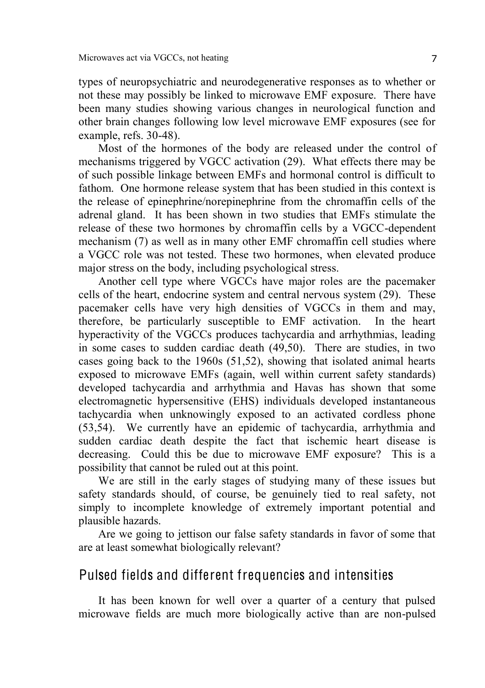types of neuropsychiatric and neurodegenerative responses as to whether or not these may possibly be linked to microwave EMF exposure. There have been many studies showing various changes in neurological function and other brain changes following low level microwave EMF exposures (see for example, refs. 30-48).

Most of the hormones of the body are released under the control of mechanisms triggered by VGCC activation (29). What effects there may be of such possible linkage between EMFs and hormonal control is difficult to fathom. One hormone release system that has been studied in this context is the release of epinephrine/norepinephrine from the chromaffin cells of the adrenal gland. It has been shown in two studies that EMFs stimulate the release of these two hormones by chromaffin cells by a VGCC-dependent mechanism (7) as well as in many other EMF chromaffin cell studies where a VGCC role was not tested. These two hormones, when elevated produce major stress on the body, including psychological stress.

Another cell type where VGCCs have major roles are the pacemaker cells of the heart, endocrine system and central nervous system (29). These pacemaker cells have very high densities of VGCCs in them and may, therefore, be particularly susceptible to EMF activation. In the heart hyperactivity of the VGCCs produces tachycardia and arrhythmias, leading in some cases to sudden cardiac death (49,50). There are studies, in two cases going back to the 1960s (51,52), showing that isolated animal hearts exposed to microwave EMFs (again, well within current safety standards) developed tachycardia and arrhythmia and Havas has shown that some electromagnetic hypersensitive (EHS) individuals developed instantaneous tachycardia when unknowingly exposed to an activated cordless phone (53,54). We currently have an epidemic of tachycardia, arrhythmia and sudden cardiac death despite the fact that ischemic heart disease is decreasing. Could this be due to microwave EMF exposure? This is a possibility that cannot be ruled out at this point.

We are still in the early stages of studying many of these issues but safety standards should, of course, be genuinely tied to real safety, not simply to incomplete knowledge of extremely important potential and plausible hazards.

Are we going to jettison our false safety standards in favor of some that are at least somewhat biologically relevant?

#### Pulsed fields and different frequencies and intensities

It has been known for well over a quarter of a century that pulsed microwave fields are much more biologically active than are non-pulsed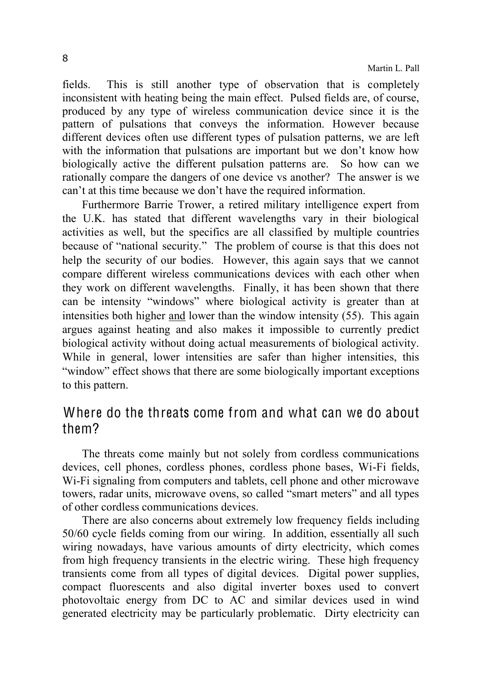fields. This is still another type of observation that is completely inconsistent with heating being the main effect. Pulsed fields are, of course, produced by any type of wireless communication device since it is the pattern of pulsations that conveys the information. However because different devices often use different types of pulsation patterns, we are left with the information that pulsations are important but we don't know how biologically active the different pulsation patterns are. So how can we rationally compare the dangers of one device vs another? The answer is we can't at this time because we don't have the required information

Furthermore Barrie Trower, a retired military intelligence expert from the U.K. has stated that different wavelengths vary in their biological activities as well, but the specifics are all classified by multiple countries because of "national security." The problem of course is that this does not help the security of our bodies. However, this again says that we cannot compare different wireless communications devices with each other when they work on different wavelengths. Finally, it has been shown that there can be intensity "windows" where biological activity is greater than at intensities both higher and lower than the window intensity (55). This again argues against heating and also makes it impossible to currently predict biological activity without doing actual measurements of biological activity. While in general, lower intensities are safer than higher intensities, this "window" effect shows that there are some biologically important exceptions to this pattern.

## Where do the threats come from and what can we do about them?

The threats come mainly but not solely from cordless communications devices, cell phones, cordless phones, cordless phone bases, Wi-Fi fields, Wi-Fi signaling from computers and tablets, cell phone and other microwave towers, radar units, microwave ovens, so called "smart meters" and all types of other cordless communications devices.

There are also concerns about extremely low frequency fields including 50/60 cycle fields coming from our wiring. In addition, essentially all such wiring nowadays, have various amounts of dirty electricity, which comes from high frequency transients in the electric wiring. These high frequency transients come from all types of digital devices. Digital power supplies, compact fluorescents and also digital inverter boxes used to convert photovoltaic energy from DC to AC and similar devices used in wind generated electricity may be particularly problematic. Dirty electricity can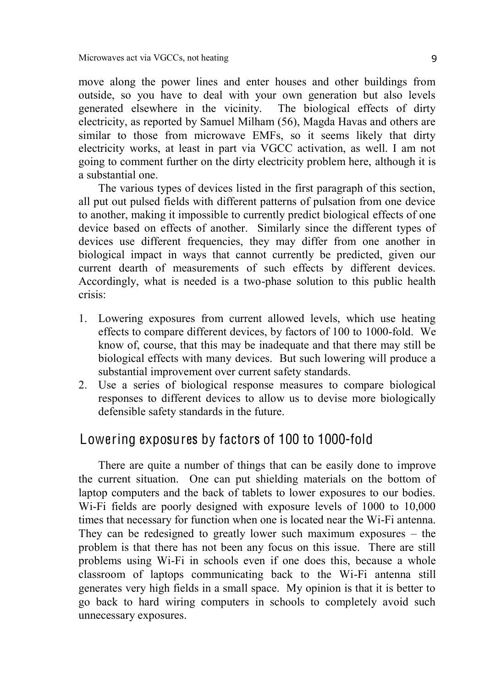move along the power lines and enter houses and other buildings from outside, so you have to deal with your own generation but also levels generated elsewhere in the vicinity. The biological effects of dirty electricity, as reported by Samuel Milham (56), Magda Havas and others are similar to those from microwave EMFs, so it seems likely that dirty electricity works, at least in part via VGCC activation, as well. I am not going to comment further on the dirty electricity problem here, although it is a substantial one.

The various types of devices listed in the first paragraph of this section, all put out pulsed fields with different patterns of pulsation from one device to another, making it impossible to currently predict biological effects of one device based on effects of another. Similarly since the different types of devices use different frequencies, they may differ from one another in biological impact in ways that cannot currently be predicted, given our current dearth of measurements of such effects by different devices. Accordingly, what is needed is a two-phase solution to this public health crisis:

- 1. Lowering exposures from current allowed levels, which use heating effects to compare different devices, by factors of 100 to 1000-fold. We know of, course, that this may be inadequate and that there may still be biological effects with many devices. But such lowering will produce a substantial improvement over current safety standards.
- 2. Use a series of biological response measures to compare biological responses to different devices to allow us to devise more biologically defensible safety standards in the future.

### Lowering exposures by factors of 100 to 1000-fold

There are quite a number of things that can be easily done to improve the current situation. One can put shielding materials on the bottom of laptop computers and the back of tablets to lower exposures to our bodies. Wi-Fi fields are poorly designed with exposure levels of 1000 to 10,000 times that necessary for function when one is located near the Wi-Fi antenna. They can be redesigned to greatly lower such maximum exposures  $-$  the problem is that there has not been any focus on this issue. There are still problems using Wi-Fi in schools even if one does this, because a whole classroom of laptops communicating back to the Wi-Fi antenna still generates very high fields in a small space. My opinion is that it is better to go back to hard wiring computers in schools to completely avoid such unnecessary exposures.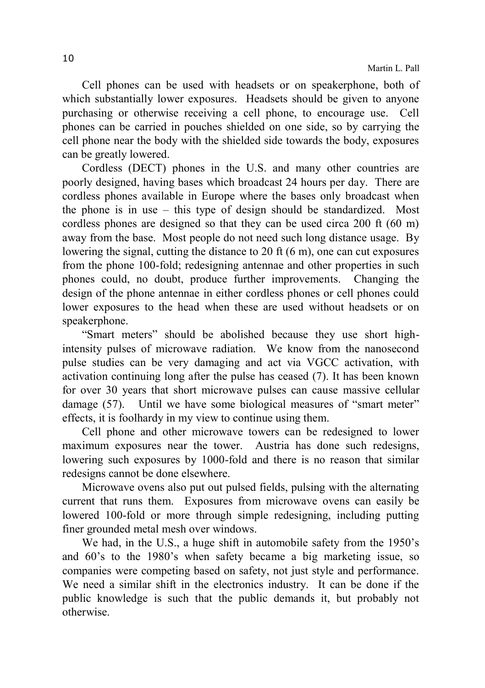Cell phones can be used with headsets or on speakerphone, both of which substantially lower exposures. Headsets should be given to anyone purchasing or otherwise receiving a cell phone, to encourage use. Cell phones can be carried in pouches shielded on one side, so by carrying the cell phone near the body with the shielded side towards the body, exposures can be greatly lowered.

Cordless (DECT) phones in the U.S. and many other countries are poorly designed, having bases which broadcast 24 hours per day. There are cordless phones available in Europe where the bases only broadcast when the phone is in use  $-$  this type of design should be standardized. Most cordless phones are designed so that they can be used circa 200 ft (60 m) away from the base. Most people do not need such long distance usage. By lowering the signal, cutting the distance to 20 ft (6 m), one can cut exposures from the phone 100-fold; redesigning antennae and other properties in such phones could, no doubt, produce further improvements. Changing the design of the phone antennae in either cordless phones or cell phones could lower exposures to the head when these are used without headsets or on speakerphone.

"Smart meters" should be abolished because they use short highintensity pulses of microwave radiation. We know from the nanosecond pulse studies can be very damaging and act via VGCC activation, with activation continuing long after the pulse has ceased (7). It has been known for over 30 years that short microwave pulses can cause massive cellular damage (57). Until we have some biological measures of "smart meter" effects, it is foolhardy in my view to continue using them.

Cell phone and other microwave towers can be redesigned to lower maximum exposures near the tower. Austria has done such redesigns, lowering such exposures by 1000-fold and there is no reason that similar redesigns cannot be done elsewhere.

Microwave ovens also put out pulsed fields, pulsing with the alternating current that runs them. Exposures from microwave ovens can easily be lowered 100-fold or more through simple redesigning, including putting finer grounded metal mesh over windows.

We had, in the U.S., a huge shift in automobile safety from the  $1950$ 's and 60's to the 1980's when safety became a big marketing issue, so companies were competing based on safety, not just style and performance. We need a similar shift in the electronics industry. It can be done if the public knowledge is such that the public demands it, but probably not otherwise.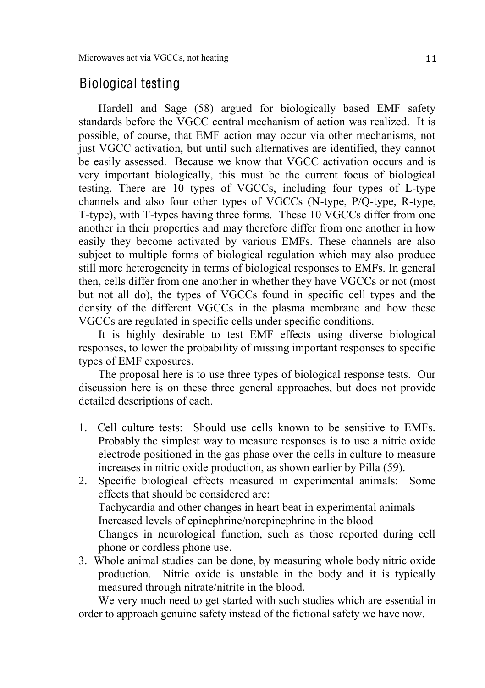### Biological testing

Hardell and Sage (58) argued for biologically based EMF safety standards before the VGCC central mechanism of action was realized. It is possible, of course, that EMF action may occur via other mechanisms, not just VGCC activation, but until such alternatives are identified, they cannot be easily assessed. Because we know that VGCC activation occurs and is very important biologically, this must be the current focus of biological testing. There are 10 types of VGCCs, including four types of L-type channels and also four other types of VGCCs (N-type, P/Q-type, R-type, T-type), with T-types having three forms. These 10 VGCCs differ from one another in their properties and may therefore differ from one another in how easily they become activated by various EMFs. These channels are also subject to multiple forms of biological regulation which may also produce still more heterogeneity in terms of biological responses to EMFs. In general then, cells differ from one another in whether they have VGCCs or not (most but not all do), the types of VGCCs found in specific cell types and the density of the different VGCCs in the plasma membrane and how these VGCCs are regulated in specific cells under specific conditions.

It is highly desirable to test EMF effects using diverse biological responses, to lower the probability of missing important responses to specific types of EMF exposures.

The proposal here is to use three types of biological response tests. Our discussion here is on these three general approaches, but does not provide detailed descriptions of each.

- 1. Cell culture tests: Should use cells known to be sensitive to EMFs. Probably the simplest way to measure responses is to use a nitric oxide electrode positioned in the gas phase over the cells in culture to measure increases in nitric oxide production, as shown earlier by Pilla (59).
- 2. Specific biological effects measured in experimental animals: Some effects that should be considered are: Tachycardia and other changes in heart beat in experimental animals Increased levels of epinephrine/norepinephrine in the blood Changes in neurological function, such as those reported during cell phone or cordless phone use.
- 3. Whole animal studies can be done, by measuring whole body nitric oxide production. Nitric oxide is unstable in the body and it is typically measured through nitrate/nitrite in the blood.

We very much need to get started with such studies which are essential in order to approach genuine safety instead of the fictional safety we have now.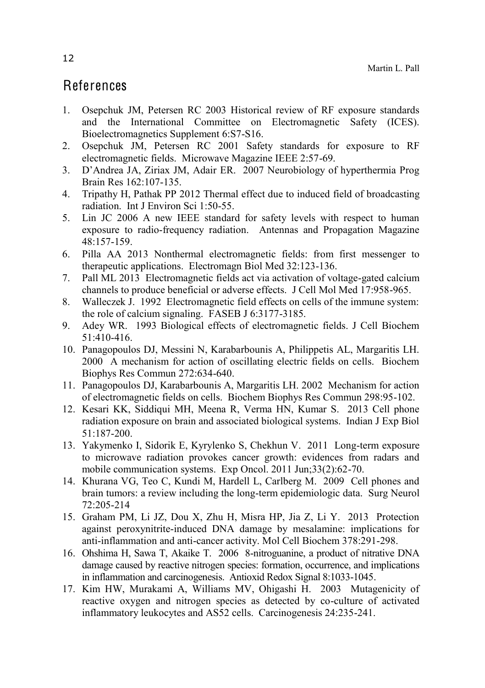## References

- 1. Osepchuk JM, Petersen RC 2003 Historical review of RF exposure standards and the International Committee on Electromagnetic Safety (ICES). Bioelectromagnetics Supplement 6:S7-S16.
- 2. Osepchuk JM, Petersen RC 2001 Safety standards for exposure to RF electromagnetic fields. Microwave Magazine IEEE 2:57-69.
- 3. D'Andrea JA, Ziriax JM, Adair ER. 2007 Neurobiology of hyperthermia Prog Brain Res 162:107-135.
- 4. Tripathy H, Pathak PP 2012 Thermal effect due to induced field of broadcasting radiation. Int J Environ Sci 1:50-55.
- 5. Lin JC 2006 A new IEEE standard for safety levels with respect to human exposure to radio-frequency radiation. Antennas and Propagation Magazine  $48:157-159$ .
- 6. Pilla AA 2013 Nonthermal electromagnetic fields: from first messenger to therapeutic applications. Electromagn Biol Med 32:123-136.
- 7. Pall ML 2013 Electromagnetic fields act via activation of voltage-gated calcium channels to produce beneficial or adverse effects. J Cell Mol Med 17:958-965.
- 8. Walleczek J. 1992 Electromagnetic field effects on cells of the immune system: the role of calcium signaling. FASEB J 6:3177-3185.
- 9. Adey WR. 1993 Biological effects of electromagnetic fields. J Cell Biochem 51:410-416.
- 10. Panagopoulos DJ, Messini N, Karabarbounis A, Philippetis AL, Margaritis LH. 2000 A mechanism for action of oscillating electric fields on cells. Biochem Biophys Res Commun 272:634-640.
- 11. Panagopoulos DJ, Karabarbounis A, Margaritis LH. 2002 Mechanism for action of electromagnetic fields on cells. Biochem Biophys Res Commun 298:95-102.
- 12. Kesari KK, Siddiqui MH, Meena R, Verma HN, Kumar S. 2013 Cell phone radiation exposure on brain and associated biological systems. Indian J Exp Biol 51:187-200.
- 13. Yakymenko I, Sidorik E, Kyrylenko S, Chekhun V. 2011 Long-term exposure to microwave radiation provokes cancer growth: evidences from radars and mobile communication systems. Exp Oncol. 2011 Jun;33(2):62-70.
- 14. Khurana VG, Teo C, Kundi M, Hardell L, Carlberg M. 2009 Cell phones and brain tumors: a review including the long-term epidemiologic data. Surg Neurol 72:205-214
- 15. Graham PM, Li JZ, Dou X, Zhu H, Misra HP, Jia Z, Li Y. 2013 Protection against peroxynitrite-induced DNA damage by mesalamine: implications for anti-inflammation and anti-cancer activity. Mol Cell Biochem 378:291-298.
- 16. Ohshima H, Sawa T, Akaike T. 2006 8-nitroguanine, a product of nitrative DNA damage caused by reactive nitrogen species: formation, occurrence, and implications in inflammation and carcinogenesis. Antioxid Redox Signal 8:1033-1045.
- 17. Kim HW, Murakami A, Williams MV, Ohigashi H. 2003 Mutagenicity of reactive oxygen and nitrogen species as detected by co-culture of activated inflammatory leukocytes and AS52 cells. Carcinogenesis 24:235-241.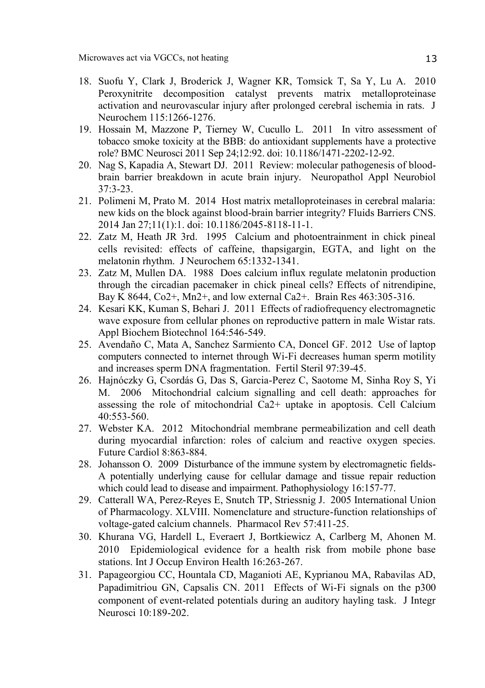- 18. Suofu Y, Clark J, Broderick J, Wagner KR, Tomsick T, Sa Y, Lu A. 2010 Peroxynitrite decomposition catalyst prevents matrix metalloproteinase activation and neurovascular injury after prolonged cerebral ischemia in rats. J Neurochem 115:1266-1276.
- 19. Hossain M, Mazzone P, Tierney W, Cucullo L. 2011 In vitro assessment of tobacco smoke toxicity at the BBB: do antioxidant supplements have a protective role? BMC Neurosci 2011 Sep 24;12:92. doi: 10.1186/1471-2202-12-92.
- 20. Nag S, Kapadia A, Stewart DJ. 2011 Review: molecular pathogenesis of bloodbrain barrier breakdown in acute brain injury. Neuropathol Appl Neurobiol 37:3-23.
- 21. Polimeni M, Prato M. 2014 Host matrix metalloproteinases in cerebral malaria: new kids on the block against blood-brain barrier integrity? Fluids Barriers CNS. 2014 Jan 27;11(1):1. doi: 10.1186/2045-8118-11-1.
- 22. Zatz M, Heath JR 3rd. 1995 Calcium and photoentrainment in chick pineal cells revisited: effects of caffeine, thapsigargin, EGTA, and light on the melatonin rhythm. J Neurochem 65:1332-1341.
- 23. Zatz M, Mullen DA. 1988 Does calcium influx regulate melatonin production through the circadian pacemaker in chick pineal cells? Effects of nitrendipine, Bay K 8644, Co<sub>2</sub>+, Mn<sub>2</sub>+, and low external Ca<sub>2</sub>+. Brain Res 463:305-316.
- 24. Kesari KK, Kuman S, Behari J. 2011 Effects of radiofrequency electromagnetic wave exposure from cellular phones on reproductive pattern in male Wistar rats. Appl Biochem Biotechnol 164:546-549.
- 25. Avendaño C, Mata A, Sanchez Sarmiento CA, Doncel GF. 2012 Use of laptop computers connected to internet through Wi-Fi decreases human sperm motility and increases sperm DNA fragmentation. Fertil Steril 97:39-45.
- 26. Hajnóczky G, Csordás G, Das S, Garcia-Perez C, Saotome M, Sinha Roy S, Yi M. 2006 Mitochondrial calcium signalling and cell death: approaches for assessing the role of mitochondrial Ca2+ uptake in apoptosis. Cell Calcium 40:553-560.
- 27. Webster KA. 2012 Mitochondrial membrane permeabilization and cell death during myocardial infarction: roles of calcium and reactive oxygen species. Future Cardiol 8:863-884.
- 28. Johansson O. 2009 Disturbance of the immune system by electromagnetic fields-A potentially underlying cause for cellular damage and tissue repair reduction which could lead to disease and impairment. Pathophysiology 16:157-77.
- 29. Catterall WA, Perez-Reyes E, Snutch TP, Striessnig J. 2005 International Union of Pharmacology. XLVIII. Nomenclature and structure-function relationships of voltage-gated calcium channels. Pharmacol Rev 57:411-25.
- 30. Khurana VG, Hardell L, Everaert J, Bortkiewicz A, Carlberg M, Ahonen M. 2010 Epidemiological evidence for a health risk from mobile phone base stations. Int J Occup Environ Health 16:263-267.
- 31. Papageorgiou CC, Hountala CD, Maganioti AE, Kyprianou MA, Rabavilas AD, Papadimitriou GN, Capsalis CN. 2011 Effects of Wi-Fi signals on the p300 component of event-related potentials during an auditory hayling task. J Integr Neurosci 10:189-202.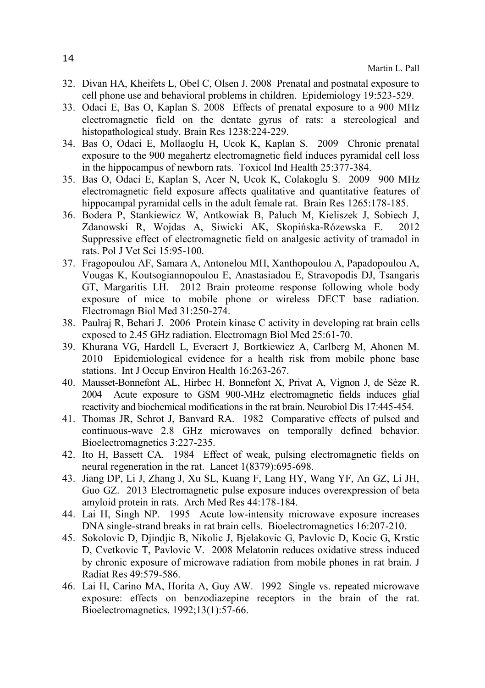- 32. Divan HA, Kheifets L, Obel C, Olsen J. 2008 Prenatal and postnatal exposure to cell phone use and behavioral problems in children. Epidemiology 19:523-529.
- 33. Odaci E, Bas O, Kaplan S. 2008 Effects of prenatal exposure to a 900 MHz electromagnetic field on the dentate gyrus of rats: a stereological and histopathological study. Brain Res 1238:224-229.
- 34. Bas O, Odaci E, Mollaoglu H, Ucok K, Kaplan S. 2009 Chronic prenatal exposure to the 900 megahertz electromagnetic field induces pyramidal cell loss in the hippocampus of newborn rats. Toxicol Ind Health 25:377-384.
- 35. Bas O, Odaci E, Kaplan S, Acer N, Ucok K, Colakoglu S. 2009 900 MHz electromagnetic field exposure affects qualitative and quantitative features of hippocampal pyramidal cells in the adult female rat. Brain Res 1265:178-185.
- 36. Bodera P, Stankiewicz W, Antkowiak B, Paluch M, Kieliszek J, Sobiech J, Zdanowski R, Wojdas A, Siwicki AK, Skopińska-Rózewska E. 2012 Suppressive effect of electromagnetic field on analgesic activity of tramadol in rats. Pol J Vet Sci 15:95-100.
- 37. Fragopoulou AF, Samara A, Antonelou MH, Xanthopoulou A, Papadopoulou A, Vougas K, Koutsogiannopoulou E, Anastasiadou E, Stravopodis DJ, Tsangaris GT, Margaritis LH. 2012 Brain proteome response following whole body exposure of mice to mobile phone or wireless DECT base radiation. Electromagn Biol Med 31:250-274.
- 38. Paulraj R, Behari J. 2006 Protein kinase C activity in developing rat brain cells exposed to 2.45 GHz radiation. Electromagn Biol Med 25:61-70.
- 39. Khurana VG, Hardell L, Everaert J, Bortkiewicz A, Carlberg M, Ahonen M. 2010 Epidemiological evidence for a health risk from mobile phone base stations. Int J Occup Environ Health 16:263-267.
- 40. Mausset-Bonnefont AL, Hirbec H, Bonnefont X, Privat A, Vignon J, de Sèze R. 2004 Acute exposure to GSM 900-MHz electromagnetic fields induces glial reactivity and biochemical modifications in the rat brain. Neurobiol Dis 17:445-454.
- 41. Thomas JR, Schrot J, Banvard RA. 1982 Comparative effects of pulsed and continuous-wave 2.8 GHz microwaves on temporally defined behavior. Bioelectromagnetics 3:227-235.
- 42. Ito H, Bassett CA. 1984 Effect of weak, pulsing electromagnetic fields on neural regeneration in the rat. Lancet 1(8379):695-698.
- 43. Jiang DP, Li J, Zhang J, Xu SL, Kuang F, Lang HY, Wang YF, An GZ, Li JH, Guo GZ. 2013 Electromagnetic pulse exposure induces overexpression of beta amyloid protein in rats. Arch Med Res 44:178-184.
- 44. Lai H, Singh NP. 1995 Acute low-intensity microwave exposure increases DNA single-strand breaks in rat brain cells. Bioelectromagnetics 16:207-210.
- 45. Sokolovic D, Djindjic B, Nikolic J, Bjelakovic G, Pavlovic D, Kocic G, Krstic D, Cvetkovic T, Pavlovic V. 2008 Melatonin reduces oxidative stress induced by chronic exposure of microwave radiation from mobile phones in rat brain. J Radiat Res 49:579-586.
- 46. Lai H, Carino MA, Horita A, Guy AW. 1992 Single vs. repeated microwave exposure: effects on benzodiazepine receptors in the brain of the rat. Bioelectromagnetics. 1992;13(1):57-66.